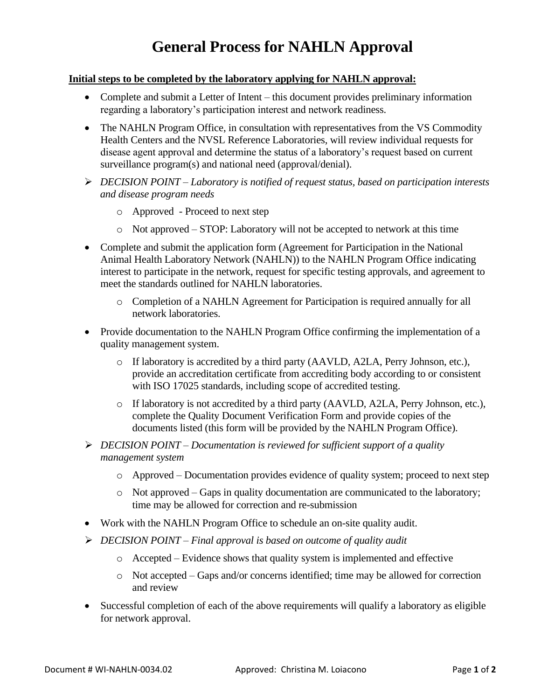## **General Process for NAHLN Approval**

## **Initial steps to be completed by the laboratory applying for NAHLN approval:**

- Complete and submit a Letter of Intent this document provides preliminary information regarding a laboratory's participation interest and network readiness.
- The NAHLN Program Office, in consultation with representatives from the VS Commodity Health Centers and the NVSL Reference Laboratories, will review individual requests for disease agent approval and determine the status of a laboratory's request based on current surveillance program(s) and national need (approval/denial).
- ➢ *DECISION POINT – Laboratory is notified of request status, based on participation interests and disease program needs*
	- o Approved Proceed to next step
	- o Not approved STOP: Laboratory will not be accepted to network at this time
- Complete and submit the application form (Agreement for Participation in the National Animal Health Laboratory Network (NAHLN)) to the NAHLN Program Office indicating interest to participate in the network, request for specific testing approvals, and agreement to meet the standards outlined for NAHLN laboratories.
	- o Completion of a NAHLN Agreement for Participation is required annually for all network laboratories.
- Provide documentation to the NAHLN Program Office confirming the implementation of a quality management system.
	- o If laboratory is accredited by a third party (AAVLD, A2LA, Perry Johnson, etc.), provide an accreditation certificate from accrediting body according to or consistent with ISO 17025 standards, including scope of accredited testing.
	- o If laboratory is not accredited by a third party (AAVLD, A2LA, Perry Johnson, etc.), complete the Quality Document Verification Form and provide copies of the documents listed (this form will be provided by the NAHLN Program Office).
- ➢ *DECISION POINT – Documentation is reviewed for sufficient support of a quality management system*
	- o Approved Documentation provides evidence of quality system; proceed to next step
	- $\circ$  Not approved Gaps in quality documentation are communicated to the laboratory; time may be allowed for correction and re-submission
- Work with the NAHLN Program Office to schedule an on-site quality audit.
- ➢ *DECISION POINT – Final approval is based on outcome of quality audit*
	- o Accepted Evidence shows that quality system is implemented and effective
	- $\circ$  Not accepted Gaps and/or concerns identified; time may be allowed for correction and review
- Successful completion of each of the above requirements will qualify a laboratory as eligible for network approval.